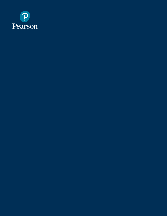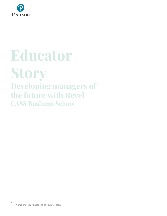

# **Educator Story Developing managers of the future with Revel CASS Business School**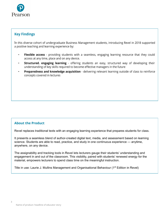

# **Key Findings**

In this diverse cohort of undergraduate Business Management students, introducing Revel in 2018 supported a positive teaching and learning experience by:

- Flexible access providing students with a seamless, engaging learning resource that they could  $\overline{a}$ access at any time, place and on any device.
- Structured. engaging learning offering students an easy, structured way of developing their understanding of key skills required to become effective managers in the future
- Preparedness and knowledge acquisition delivering relevant learning outside of class to reinforce concepts covered in lectures

# **About the Product**

Revel replaces traditional texts with an engaging learning experience that prepares students for class.

It presents a seamless blend of author-created digital text, media, and assessment based on learning science. Students are able to read, practice, and study in one continuous experience — anytime, anywhere, on any device.

The assignability and tracking tools in Revel lets lecturers gauge their students' understanding and engagement in and out of the classroom. This visibility, paired with students' renewed energy for the material, empowers lecturers to spend class time on the meaningful instruction.

Title in use: Laurie J. Mullins Management and Organisational Behaviour (1<sup>st</sup> Edition in Revel)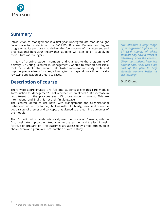

# **Summary**

Introduction to Management is a first year undergraduate module taught face-to-face for students on the CASS BSc Business Management degree programme. Its purpose - to deliver the foundations of management and organisational behaviour theory that students will later go on to apply in their futures as managers.

In light of growing student numbers and changes to the programme of delivery, Dr Chung (Lecturer in Management), wanted to offer an accessible tool for students that would help foster independent study skills and improve preparedness for class, allowing tutors to spend more time critically reviewing application of theory to cases.

# **Description of course**

There were approximately 375 full-time students taking this core module 'Introduction to Management'. That represented an almost 100% increase in recruitment on the previous year. Of those students, almost 50% are international and English is not their first language.

The lecturer opted to use Revel with Management and Organisational Behaviour, written by Laurie J. Mullins with Gill Christy, because it offered a good range of themes and concepts that aligned to the learning outcomes of the module.

The 15 credit unit is taught intensively over the course of 11 weeks, with the first week taken up by the introduction to the learning and the last 2 weeks for revision preparation. The outcomes are assessed by a mid-term multiple choice exam and group oral presentation of a case study.

"We introduce a large range of management topics in an 11 week course, of which students only have 8 weeks to intensively learn the content. Given that students have less tutorial time, Revel was a big part of the plan to help students become better at self-learning."

Dr. D Chung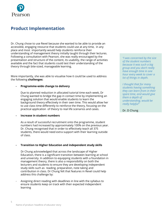

# **Product Implementation**

Dr. Chung chose to use Revel because she wanted to be able to provide an accessible, engaging resource that students could use at any time, in any place and most importantly would help students reinforce their understanding of management theory initially taught through their lectures. Following a consultation with Pearson, she was really encouraged by the presentation and structure of the content, its usability, the range of activities available and the fact that students could test their understanding of the theory through bite-sized, manageable learning.

More importantly, she was able to visualise how it could be used to address the following **challenges:**

### **- Programme-wide change to delivery**

Due to planned reduction in allocated tutorial time each week, Dr Chung wanted to bridge the gap in contact time by implementing an engaging solution that would enable students to learn the background theory effectively in their own time. This would allow her to use class time differently to reinforce the theory, focusing on the practical application of theory to real life scenarios and cases.

### **- Increase in student numbers**

As a result of successful recruitment onto the programme, student numbers had increased by approximately 100% on the previous year. Dr. Chung recognised that in order to effectively teach all 375 students, there would need extra support with their learning outside of class.

### **- Transition to Higher Education and independent study skills**

Dr Chung acknowledged that across the landscape of Higher Education, there is a significant transition between learning at school and university. In addition to equipping students with a foundation in management theory, there is also a responsibility on both the lecturers and students to ensure they are developing independent study skills such as reading, preparation, note taking and contribution in class. Dr Chung felt that features in Revel could help address this challenge by:

Assigning direct reading with deadlines in line with the syllabus to ensure students keep on track with their expected independent learning

"I was concerned by the size of the student numbers because it was such a big group and you don't really have enough time in one hour every week to cover a lot of things in depth.

I thought that for many students having something they can learn from in their spare time, and would give them a depth of understanding, would be really helpful"

### Dr. D Chung

5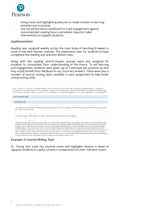

- Using notes and highlighting features to relate content to learning activities and outcomes
- Use the performance dashboard to track engagement against recommended reading hours and where required make interventions to support students.

### *Implementation*

Reading was assigned weekly across the main body of teaching (8 weeks in total) in line with themes covered. The expectation was for students to have completed the reading and activities before class.

Along with the reading, end-of-chapter quizzes were also assigned for students to consolidate their understanding of the theory. To aid learning and engagement, students were given up to 3 attempts per question so that they could benefit from feedback to any incorrect answers. There were also a number of journal writing tasks available in each assignment to help foster critical writing skills.

Journal: Consider the statement: 'The human relations approach makes all the right noises with an emphasis on humane behaviour, considerate management and recognition of the informal organisation. However, it is more about what people would like to believe and ignores the realities of the actual working environment.' What is your opinion? To what extent have you experienced a genuine human relations approach in a work organisation? No Submissions (146)  $\bullet$  Submissions (26) 1 Oct 24.5:36 nm I don't feel I have ever experienced a genuine human relations approach in a work organisation before. Most of my work have not been followed up or been given attention to by supervisors. Oct 7.5:32 pm I would tend to agree. I have experienced a genuine emphasis on humane behaviour in an organisation Oct 6.6:07 nn I think that I do agree with the fact that Human relations are a vital part of any working environment, as humans (as creatures) need to be sociable in order to be fully content and happy, therefore for instance if one of the people in the workplace is bullied, he/she will not want to work as hard and therefore this will<br>promote a very bad and toxic atmosphere at work. However I t .<br>particular employee. Some of the workers will not care as much about interpersonal relationships and more about the monetary reward of jobs, thus the<br>example mentioned earlier will not impact them and their productivity work, rather than monetary, he/she will be impacted more by such a situation. Overall I think that the organisation should promote a sense of culture and<br>unity as to help those specific employees. The benefit of it will be the managers/bosses (as their subordinates will be more happy and so be willing to do more work)

### *Example of Journal Writing Task*

Dr. Chung also used the intuitive notes and highlights feature in Revel to signpost students to useful content in preparation for their mid-term exam: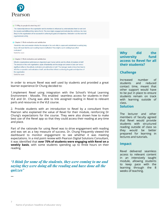

7.1 Why do people do what they do? The relationship between the organisation and its members is influenced by what motivates them to work and the rewards and fulfilment they derive from it. The more highly engaged and motivated the workforce, the more likely it is the organisation will be successful in achieving its goals and objectives. Motivation is at the root of all organisational activity. Chapter 7: Work motivation and satisfaction Watch this video and consider whether the strength of the work ethic in Japan and commitment to working long hours will mean that the cut in working hours is ineffective? How might a cut in working hours affect motivation? Useful for exam Chapter 7: Work motivation and satisfaction Effective organisational performance is dependent upon human activity and the efforts of members of staff. The structure of the work organisation, styles of leadership and the design and content of jobs can have a significant effect on the attitude, motivation and satisfaction of staff. The manager needs to know how best to elicit the co-operation and motivation of staff, and direct their efforts to achieving the goals and objectives of the organisation.

Useful for exam

In order to ensure Revel was well used by students and provided a great learner experience Dr Chung decided to:

1.implement Revel using integration with the School's Virtual Learning Environment - Moodle. This enabled seamless access for students in their VLE and Dr. Chung was able to link assigned reading in Revel to relevant parts and resources in the VLE course.

2. Provide students with an introduction to Revel by a consultant from Pearson who explained the value of Revel for their module, reinforcing Dr Chung's expectations for the course. They were also shown how to make best use of the Revel app so that they could access their reading at any time and place.

Part of the rationale for using Revel was to drive engagement with reading and was set as a key measure of success. Dr. Chung frequently viewed the dashboard to monitor engagement to see whether it was meeting expectations. In a mid point review with Pearson Digital Solutions Consultant, it was identified that **over 75% of students were engaging with Revel on a weekly basis**, with some students spending up to three hours on their reading.

*"I think for some of the students, they were coming to me and saying they were doing all the reading and have done all the quizzes"*

#### **Why** did the university fund access to Revel for all their students?

# **Challenge**

Increased number of students and reduced contact time, meant that other support would have to be put in place to ensure students remain on track with learning outside of class.

# **Solution**

The lecturer and other members of faculty agreed that Revel would provide students with structured reading outside of class so they would be better prepared for learning in lectures and tutorials.

# **Impact**

Revel delivered seamless access to relevant content in an intensively taught module, allowing students to keep pace with the learning through the 8 weeks of teaching.

**—**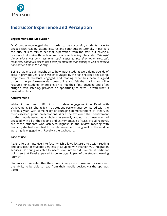

# **Instructor Experience and Perception**

## **Engagement and Motivation**

Dr Chung acknowledged that in order to be successful, students have to engage with reading, attend lectures and contribute in tutorials. In part it is the duty of lecturers to set that expectation from the start but having a resource that makes those tasks more accessible is key. She added *"I thought the interface was very nice and much easier to use than other electronic resources, and much easier and better for students than having to wait to check a book out on hold in the library'*

Being unable to gain insight on to how much students were doing outside of class in previous years, she was encouraged by the fact she could see a large proportion of students engaged and reading what has been assigned through the performance dashboard. She also felt that having an online resource for students where English is not their first language and often struggle with listening, provided an opportunity to catch up with what is covered in class.

### **Achievement**

While it has been difficult to correlate engagement in Revel with achievement, Dr Chung felt that student performance compared with the previous year, with some really encouraging demonstrations of theory in their assessed group presentations. While she explained that achievement on the module varied as a whole, she strongly argued that those who had engaged with all of the reading and activity outside of class, including Revel, are those students who achieved highest. In the review meeting with Pearson, she had identified those who were performing well on the module were highly engaged with Revel via the dashboard.

# **Ease of use**

Revel offers an intuitive interface which allows lecturers to assign reading and activities for students very easily. Coupled with Pearson VLE integration services, Dr Chung was able to insert Revel into her VLE course at pertinent points so that Revel appeared to be an organic part of the student learning journey.

Students also reported that they found it very easy to use and navigate and the ability to be able to read from their mobile devices via the app was useful.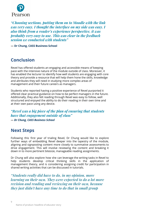

*"Choosing sections, putting them on to Moodle with the link was very easy. I thought the interface on my side was easy. I also think from a reader's experience perspective, it was probably very easy to use. This was clear in the feedback session we conducted with students"*

**— Dr Chung, CASS Business School**

# **Conclusion**

Revel has offered students an engaging and accessible means of keeping pace with the intensive nature of the module outside of class. Moreover, it has enabled the lecturer to identify how well students are engaging with core theory and provide a resource that will help them hone the skills, knowledge and attributes they will need in studying more complex areas of management and their future careers as managers.

Students who reported having a positive experience of Revel purported it offered clear practical guidance on how to be perfect managers in the future. Additionally, they also felt reading through Revel was easy to follow, well structured and enjoyed the ability to do their reading in their own time and at their own pace using any device.

*"Revel was a big piece of the plan of ensuring that students have that engagement outside of class" — Dr Chung, CASS Business School*

# **Next Steps**

Following this first year of trialing Revel, Dr Chung would like to explore further ways of embedding Revel deeper into the tapestry of the module, aligning and signposting content more closely to summative assessments to drive engagement. This will involve reviewing the content and breaking it down in to more pertinent bitesize, manageable reading assignments.

Dr Chung will also explore how she can leverage the writing tasks in Revel to help students develop critical thinking skills in the application of management theory, and is considering assigning credit for participation in shared writing activities that can be discussed in tutorials.

*"Students really did have to do, in my opinion, more learning on their own. They were expected to do a lot more revision and reading and reviewing on their own, because they just didn't have any time to do that in small group*